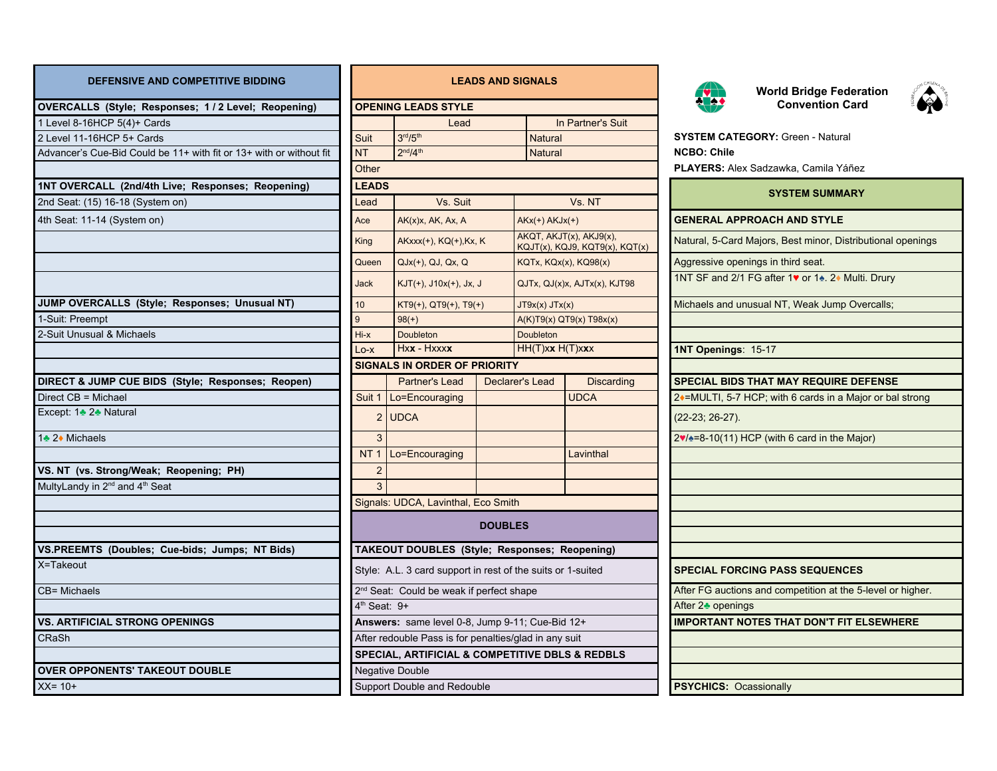| DEFENSIVE AND COMPETITIVE BIDDING |  |  |
|-----------------------------------|--|--|
|-----------------------------------|--|--|

| OVERCALLS (Style; Responses; 1 / 2 Level; Reopening)                |                                                                                  | <b>OPENING LEADS STYLE</b>                                  |                 |                               |                                                           | <b>READ</b>                             | <b>Convention Card</b>                                      |
|---------------------------------------------------------------------|----------------------------------------------------------------------------------|-------------------------------------------------------------|-----------------|-------------------------------|-----------------------------------------------------------|-----------------------------------------|-------------------------------------------------------------|
| 1 Level 8-16HCP 5(4)+ Cards                                         |                                                                                  | Lead                                                        |                 |                               | In Partner's Suit                                         |                                         |                                                             |
| 2 Level 11-16HCP 5+ Cards                                           | Suit                                                                             | 3 <sup>rd</sup> /5 <sup>th</sup>                            |                 | <b>Natural</b>                |                                                           | <b>SYSTEM CATEGORY: Green - Natural</b> |                                                             |
| Advancer's Cue-Bid Could be 11+ with fit or 13+ with or without fit | <b>NT</b>                                                                        | 2 <sup>nd</sup> /4 <sup>th</sup>                            |                 | <b>Natural</b>                |                                                           | <b>NCBO: Chile</b>                      |                                                             |
|                                                                     | Other                                                                            |                                                             |                 |                               |                                                           |                                         | <b>PLAYERS:</b> Alex Sadzawka, Camila Yáñez                 |
| 1NT OVERCALL (2nd/4th Live; Responses; Reopening)                   | <b>LEADS</b>                                                                     |                                                             |                 |                               |                                                           |                                         | <b>SYSTEM SUMMARY</b>                                       |
| 2nd Seat: (15) 16-18 (System on)                                    | Lead                                                                             | Vs. Suit                                                    |                 |                               | Vs. NT                                                    |                                         |                                                             |
| 4th Seat: 11-14 (System on)                                         | Ace                                                                              | $AK(x)x$ , $AK$ , $Ax$ , $A$                                |                 | $AKx(+) AKJx(+)$              |                                                           |                                         | <b>GENERAL APPROACH AND STYLE</b>                           |
|                                                                     | King                                                                             | AKxxx(+), KQ(+), Kx, K                                      |                 |                               | AKQT, AKJT(x), AKJ9(x),<br>KQJT(x), KQJ9, KQT9(x), KQT(x) |                                         | Natural, 5-Card Majors, Best minor, Distributional opening  |
|                                                                     | Queen                                                                            | $QJx(+)$ , $QJ$ , $Qx$ , $Q$                                |                 |                               | KQTx, KQx(x), KQ98(x)                                     | Aggressive openings in third seat.      |                                                             |
|                                                                     | <b>Jack</b>                                                                      | $KJT(+)$ , $J10x(+)$ , Jx, J                                |                 |                               | QJTx, QJ(x)x, AJTx(x), KJT98                              |                                         | 1NT SF and 2/1 FG after 1♥ or 1▲ 2◆ Multi. Drury            |
| JUMP OVERCALLS (Style; Responses; Unusual NT)                       | 10                                                                               | $KT9(+)$ , QT9(+), T9(+)                                    |                 | $JT9x(x)$ $JTx(x)$            |                                                           |                                         | Michaels and unusual NT, Weak Jump Overcalls;               |
| 1-Suit: Preempt                                                     | 9                                                                                | $98(+)$                                                     |                 |                               | $A(K)T9(x)$ QT9(x) T98x(x)                                |                                         |                                                             |
| 2-Suit Unusual & Michaels                                           | Hi-x                                                                             | Doubleton                                                   |                 | <b>Doubleton</b>              |                                                           |                                         |                                                             |
|                                                                     | Lo-x                                                                             | Hxx - Hxxxx                                                 |                 | HH(T)xx H(T)xxx               |                                                           | 1NT Openings: 15-17                     |                                                             |
|                                                                     |                                                                                  | <b>SIGNALS IN ORDER OF PRIORITY</b>                         |                 |                               |                                                           |                                         |                                                             |
| DIRECT & JUMP CUE BIDS (Style; Responses; Reopen)                   |                                                                                  | Partner's Lead                                              | Declarer's Lead |                               | <b>Discarding</b>                                         |                                         | SPECIAL BIDS THAT MAY REQUIRE DEFENSE                       |
| Direct CB = Michael                                                 |                                                                                  | Suit 1   Lo=Encouraging                                     |                 |                               | <b>UDCA</b>                                               |                                         | 2+=MULTI, 5-7 HCP; with 6 cards in a Major or bal strong    |
| Except: 1♣ 2♣ Natural                                               |                                                                                  | $2$ UDCA                                                    |                 |                               |                                                           | $(22-23; 26-27).$                       |                                                             |
| 1♣ 2♦ Michaels                                                      | 3                                                                                |                                                             |                 |                               |                                                           |                                         | $2\sqrt{2}=8-10(11)$ HCP (with 6 card in the Major)         |
|                                                                     |                                                                                  | NT 1   Lo=Encouraging                                       |                 |                               | Lavinthal                                                 |                                         |                                                             |
| VS. NT (vs. Strong/Weak; Reopening; PH)                             | $\overline{2}$                                                                   |                                                             |                 |                               |                                                           |                                         |                                                             |
| MultyLandy in 2 <sup>nd</sup> and 4 <sup>th</sup> Seat              |                                                                                  |                                                             |                 |                               |                                                           |                                         |                                                             |
|                                                                     |                                                                                  | Signals: UDCA, Lavinthal, Eco Smith                         |                 |                               |                                                           |                                         |                                                             |
|                                                                     |                                                                                  |                                                             | <b>DOUBLES</b>  |                               |                                                           |                                         |                                                             |
| VS.PREEMTS (Doubles; Cue-bids; Jumps; NT Bids)                      |                                                                                  | TAKEOUT DOUBLES (Style; Responses; Reopening)               |                 |                               |                                                           |                                         |                                                             |
| X=Takeout                                                           |                                                                                  | Style: A.L. 3 card support in rest of the suits or 1-suited |                 |                               |                                                           |                                         | <b>SPECIAL FORCING PASS SEQUENCES</b>                       |
| CB= Michaels                                                        |                                                                                  |                                                             |                 |                               |                                                           |                                         | After FG auctions and competition at the 5-level or higher. |
|                                                                     | 2 <sup>nd</sup> Seat: Could be weak if perfect shape<br>4 <sup>th</sup> Seat: 9+ |                                                             |                 | After 2 <sup>★</sup> openings |                                                           |                                         |                                                             |
| <b>VS. ARTIFICIAL STRONG OPENINGS</b>                               |                                                                                  | Answers: same level 0-8, Jump 9-11; Cue-Bid 12+             |                 |                               |                                                           |                                         | <b>IMPORTANT NOTES THAT DON'T FIT ELSEWHERE</b>             |
| CRaSh                                                               |                                                                                  | After redouble Pass is for penalties/glad in any suit       |                 |                               |                                                           |                                         |                                                             |
|                                                                     |                                                                                  | SPECIAL, ARTIFICIAL & COMPETITIVE DBLS & REDBLS             |                 |                               |                                                           |                                         |                                                             |
| <b>OVER OPPONENTS' TAKEOUT DOUBLE</b>                               |                                                                                  | Negative Double                                             |                 |                               |                                                           |                                         |                                                             |
| $XX = 10+$                                                          | Support Double and Redouble                                                      |                                                             |                 |                               | <b>PSYCHICS: Ocassionally</b>                             |                                         |                                                             |

## **DEFENSIVE AND COMPETITIVE BIDDING LEADS AND SIGNALS**

| <b>OPENING LEADS STYLE</b>                                  |                                                       |                 |                              |                                                           | <b>RHY</b><br><b>Convention Card</b>                                                   |  |  |  |
|-------------------------------------------------------------|-------------------------------------------------------|-----------------|------------------------------|-----------------------------------------------------------|----------------------------------------------------------------------------------------|--|--|--|
|                                                             | Lead                                                  |                 | In Partner's Suit            |                                                           |                                                                                        |  |  |  |
| Suit                                                        | 3 <sup>rd</sup> /5 <sup>th</sup>                      |                 | <b>Natural</b>               |                                                           | <b>SYSTEM CATEGORY: Green - Natural</b>                                                |  |  |  |
| <b>NT</b>                                                   | 2 <sup>nd</sup> /4 <sup>th</sup><br><b>Natural</b>    |                 |                              |                                                           | <b>NCBO: Chile</b>                                                                     |  |  |  |
| Other                                                       |                                                       |                 |                              |                                                           | <b>PLAYERS: Alex Sadzawka, Camila Yáñez</b>                                            |  |  |  |
| <b>LEADS</b>                                                |                                                       |                 |                              |                                                           | <b>SYSTEM SUMMARY</b>                                                                  |  |  |  |
| Lead                                                        | Vs. Suit                                              |                 |                              | Vs. NT                                                    |                                                                                        |  |  |  |
| Ace                                                         | $AK(x)x$ , AK, Ax, A                                  |                 |                              | $AKx(+) AKJx(+)$                                          | <b>GENERAL APPROACH AND STYLE</b>                                                      |  |  |  |
| <b>King</b>                                                 | AKxxx(+), KQ(+), Kx, K                                |                 |                              | AKQT, AKJT(x), AKJ9(x),<br>KQJT(x), KQJ9, KQT9(x), KQT(x) | Natural, 5-Card Majors, Best minor, Distributional opening                             |  |  |  |
| Queen                                                       | $QJx(+)$ , $QJ$ , $Qx$ , $Q$                          |                 | KQTx, KQx(x), KQ98(x)        |                                                           | Aggressive openings in third seat.                                                     |  |  |  |
| <b>Jack</b>                                                 | $KJT(+)$ , $J10x(+)$ , Jx, J                          |                 | QJTx, QJ(x)x, AJTx(x), KJT98 |                                                           | 1NT SF and 2/1 FG after 1 <sup>v</sup> or 1 <sup>*</sup> . 2 <sup>*</sup> Multi. Drury |  |  |  |
| 10                                                          | $KT9(+)$ , QT9(+), T9(+)                              |                 | $JT9x(x)$ $JTx(x)$           |                                                           | Michaels and unusual NT, Weak Jump Overcalls;                                          |  |  |  |
| $\boldsymbol{9}$                                            | $98(+)$                                               |                 | A(K)T9(x) QT9(x) T98x(x)     |                                                           |                                                                                        |  |  |  |
| Hi-x                                                        | Doubleton                                             |                 | <b>Doubleton</b>             |                                                           |                                                                                        |  |  |  |
| $Lo-X$                                                      | Hxx - Hxxxx                                           |                 | HH(T)xx H(T)xxx              |                                                           | 1NT Openings: 15-17                                                                    |  |  |  |
|                                                             | <b>SIGNALS IN ORDER OF PRIORITY</b>                   |                 |                              |                                                           |                                                                                        |  |  |  |
|                                                             | Partner's Lead                                        | Declarer's Lead |                              | <b>Discarding</b>                                         | <b>SPECIAL BIDS THAT MAY REQUIRE DEFENSE</b>                                           |  |  |  |
| Suit 1                                                      | Lo=Encouraging                                        |                 |                              | <b>UDCA</b>                                               | 2♦=MULTI, 5-7 HCP; with 6 cards in a Major or bal strong                               |  |  |  |
| $\overline{2}$                                              | <b>UDCA</b>                                           |                 |                              |                                                           | $(22-23; 26-27).$                                                                      |  |  |  |
| $\mathbf{3}$                                                |                                                       |                 |                              |                                                           | $2\sqrt{2}=8-10(11)$ HCP (with 6 card in the Major)                                    |  |  |  |
| <b>NT1</b>                                                  | Lo=Encouraging                                        |                 |                              | Lavinthal                                                 |                                                                                        |  |  |  |
| $\overline{2}$                                              |                                                       |                 |                              |                                                           |                                                                                        |  |  |  |
| 3                                                           |                                                       |                 |                              |                                                           |                                                                                        |  |  |  |
|                                                             | Signals: UDCA, Lavinthal, Eco Smith                   |                 |                              |                                                           |                                                                                        |  |  |  |
|                                                             |                                                       | <b>DOUBLES</b>  |                              |                                                           |                                                                                        |  |  |  |
|                                                             |                                                       |                 |                              |                                                           |                                                                                        |  |  |  |
|                                                             | <b>TAKEOUT DOUBLES (Style; Responses; Reopening)</b>  |                 |                              |                                                           |                                                                                        |  |  |  |
| Style: A.L. 3 card support in rest of the suits or 1-suited |                                                       |                 |                              |                                                           | <b>SPECIAL FORCING PASS SEQUENCES</b>                                                  |  |  |  |
| 2 <sup>nd</sup> Seat: Could be weak if perfect shape        |                                                       |                 |                              |                                                           | After FG auctions and competition at the 5-level or higher.                            |  |  |  |
| $4th$ Seat: $9+$                                            |                                                       |                 |                              |                                                           | After 2 <del>▲</del> openings                                                          |  |  |  |
|                                                             | Answers: same level 0-8, Jump 9-11; Cue-Bid 12+       |                 |                              |                                                           | <b>IMPORTANT NOTES THAT DON'T FIT ELSEWHERE</b>                                        |  |  |  |
|                                                             | After redouble Pass is for penalties/glad in any suit |                 |                              |                                                           |                                                                                        |  |  |  |
|                                                             | SPECIAL, ARTIFICIAL & COMPETITIVE DBLS & REDBLS       |                 |                              |                                                           |                                                                                        |  |  |  |
|                                                             | <b>Negative Double</b>                                |                 |                              |                                                           |                                                                                        |  |  |  |
| Support Double and Redouble                                 |                                                       |                 |                              |                                                           | PSYCHICS: Ocassionally                                                                 |  |  |  |



**World Bridge Federation**



| <b>SYSTEM CATEGORY: Green - Natural</b><br><b>NCBO: Chile</b>  |  |  |  |  |  |  |
|----------------------------------------------------------------|--|--|--|--|--|--|
| <b>PLAYERS:</b> Alex Sadzawka, Camila Yáñez                    |  |  |  |  |  |  |
| <b>SYSTEM SUMMARY</b>                                          |  |  |  |  |  |  |
| <b>GENERAL APPROACH AND STYLE</b>                              |  |  |  |  |  |  |
| Natural, 5-Card Majors, Best minor, Distributional openings    |  |  |  |  |  |  |
| Aggressive openings in third seat.                             |  |  |  |  |  |  |
| 1NT SF and 2/1 FG after 1v or 1 <sup>★</sup> . 2◆ Multi. Drury |  |  |  |  |  |  |
| Michaels and unusual NT, Weak Jump Overcalls;                  |  |  |  |  |  |  |
|                                                                |  |  |  |  |  |  |
|                                                                |  |  |  |  |  |  |
| 1NT Openings: 15-17                                            |  |  |  |  |  |  |
| SPECIAL BIDS THAT MAY REQUIRE DEFENSE                          |  |  |  |  |  |  |
| 2+=MULTI, 5-7 HCP; with 6 cards in a Major or bal strong       |  |  |  |  |  |  |
| $(22-23; 26-27).$                                              |  |  |  |  |  |  |
| 2v/ = 8-10(11) HCP (with 6 card in the Major)                  |  |  |  |  |  |  |
|                                                                |  |  |  |  |  |  |
|                                                                |  |  |  |  |  |  |
|                                                                |  |  |  |  |  |  |
|                                                                |  |  |  |  |  |  |
|                                                                |  |  |  |  |  |  |
|                                                                |  |  |  |  |  |  |
| <b>SPECIAL FORCING PASS SEQUENCES</b>                          |  |  |  |  |  |  |
| After FG auctions and competition at the 5-level or higher.    |  |  |  |  |  |  |
| After 2 <sup>+</sup> openings                                  |  |  |  |  |  |  |
| <b>IMPORTANT NOTES THAT DON'T FIT ELSEWHERE</b>                |  |  |  |  |  |  |
|                                                                |  |  |  |  |  |  |
|                                                                |  |  |  |  |  |  |
| <b>PSYCHICS: Ocassionally</b>                                  |  |  |  |  |  |  |
|                                                                |  |  |  |  |  |  |